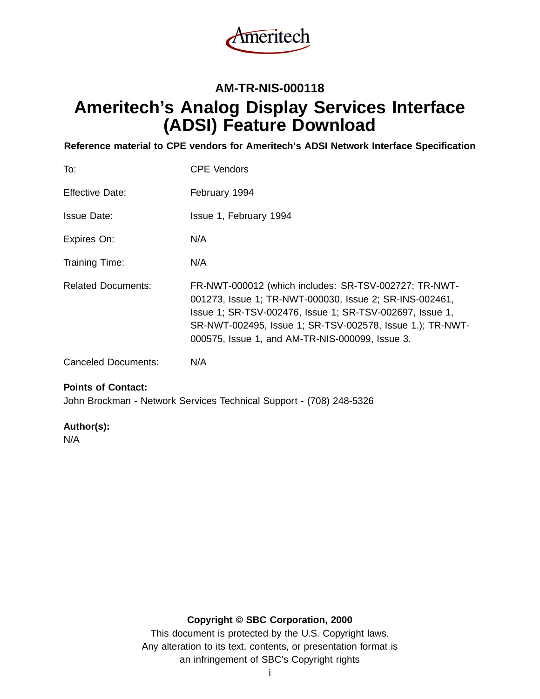

# **AM-TR-NIS-000118 Ameritech's Analog Display Services Interface (ADSI) Feature Download**

**Reference material to CPE vendors for Ameritech's ADSI Network Interface Specification**

| To:                        | <b>CPE Vendors</b>                                                                                                                                                                                                                                                                           |
|----------------------------|----------------------------------------------------------------------------------------------------------------------------------------------------------------------------------------------------------------------------------------------------------------------------------------------|
| Effective Date:            | February 1994                                                                                                                                                                                                                                                                                |
| <b>Issue Date:</b>         | Issue 1, February 1994                                                                                                                                                                                                                                                                       |
| Expires On:                | N/A                                                                                                                                                                                                                                                                                          |
| Training Time:             | N/A                                                                                                                                                                                                                                                                                          |
| <b>Related Documents:</b>  | FR-NWT-000012 (which includes: SR-TSV-002727; TR-NWT-<br>001273, Issue 1; TR-NWT-000030, Issue 2; SR-INS-002461,<br>Issue 1; SR-TSV-002476, Issue 1; SR-TSV-002697, Issue 1,<br>SR-NWT-002495, Issue 1; SR-TSV-002578, Issue 1.); TR-NWT-<br>000575, Issue 1, and AM-TR-NIS-000099, Issue 3. |
| <b>Canceled Documents:</b> | N/A                                                                                                                                                                                                                                                                                          |

#### **Points of Contact:**

John Brockman - Network Services Technical Support - (708) 248-5326

#### **Author(s):**

N/A

## **Copyright © SBC Corporation, 2000**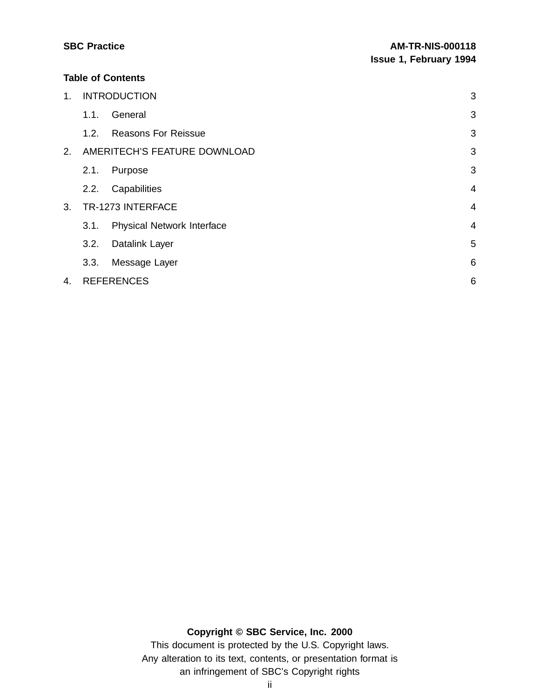## **Table of Contents**

| <b>INTRODUCTION</b><br>1.          |                   |                                   | 3               |
|------------------------------------|-------------------|-----------------------------------|-----------------|
|                                    | 1.1.              | General                           | 3               |
|                                    | 1.2.              | <b>Reasons For Reissue</b>        | 3               |
| AMERITECH'S FEATURE DOWNLOAD<br>2. |                   |                                   | 3               |
|                                    | 2.1.              | Purpose                           | 3               |
|                                    | 2.2.              | Capabilities                      | $\overline{4}$  |
| 3.                                 | TR-1273 INTERFACE |                                   | $\overline{4}$  |
|                                    | 3.1.              | <b>Physical Network Interface</b> | $\overline{4}$  |
|                                    | 3.2.              | Datalink Layer                    | 5               |
|                                    | 3.3.              | Message Layer                     | $6\phantom{1}6$ |
| 4.                                 | <b>REFERENCES</b> |                                   | 6               |

# **Copyright © SBC Service, Inc. 2000**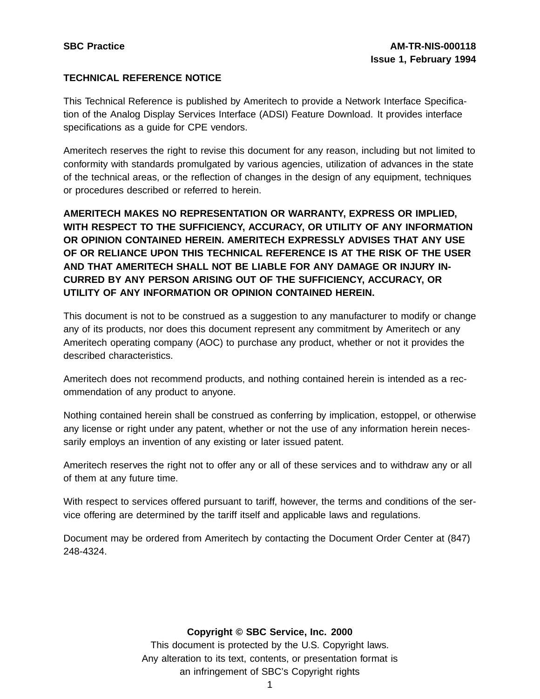## **TECHNICAL REFERENCE NOTICE**

This Technical Reference is published by Ameritech to provide a Network Interface Specification of the Analog Display Services Interface (ADSI) Feature Download. It provides interface specifications as a guide for CPE vendors.

Ameritech reserves the right to revise this document for any reason, including but not limited to conformity with standards promulgated by various agencies, utilization of advances in the state of the technical areas, or the reflection of changes in the design of any equipment, techniques or procedures described or referred to herein.

**AMERITECH MAKES NO REPRESENTATION OR WARRANTY, EXPRESS OR IMPLIED, WITH RESPECT TO THE SUFFICIENCY, ACCURACY, OR UTILITY OF ANY INFORMATION OR OPINION CONTAINED HEREIN. AMERITECH EXPRESSLY ADVISES THAT ANY USE OF OR RELIANCE UPON THIS TECHNICAL REFERENCE IS AT THE RISK OF THE USER AND THAT AMERITECH SHALL NOT BE LIABLE FOR ANY DAMAGE OR INJURY IN-CURRED BY ANY PERSON ARISING OUT OF THE SUFFICIENCY, ACCURACY, OR UTILITY OF ANY INFORMATION OR OPINION CONTAINED HEREIN.**

This document is not to be construed as a suggestion to any manufacturer to modify or change any of its products, nor does this document represent any commitment by Ameritech or any Ameritech operating company (AOC) to purchase any product, whether or not it provides the described characteristics.

Ameritech does not recommend products, and nothing contained herein is intended as a recommendation of any product to anyone.

Nothing contained herein shall be construed as conferring by implication, estoppel, or otherwise any license or right under any patent, whether or not the use of any information herein necessarily employs an invention of any existing or later issued patent.

Ameritech reserves the right not to offer any or all of these services and to withdraw any or all of them at any future time.

With respect to services offered pursuant to tariff, however, the terms and conditions of the service offering are determined by the tariff itself and applicable laws and regulations.

Document may be ordered from Ameritech by contacting the Document Order Center at (847) 248-4324.

## **Copyright © SBC Service, Inc. 2000**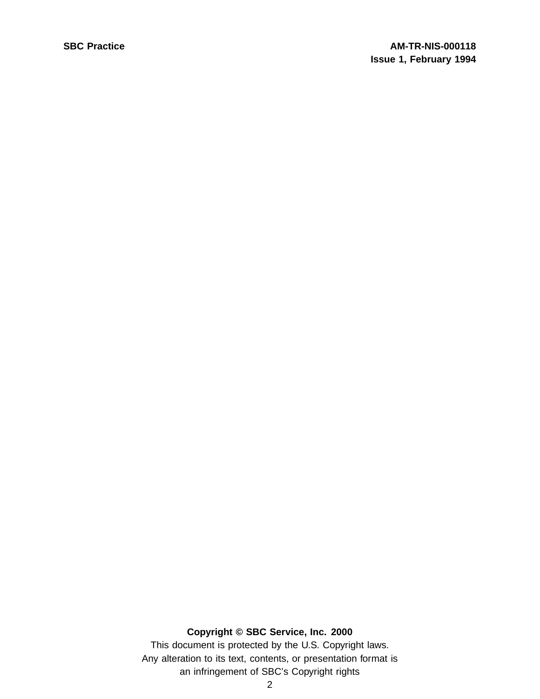# **Copyright © SBC Service, Inc. 2000**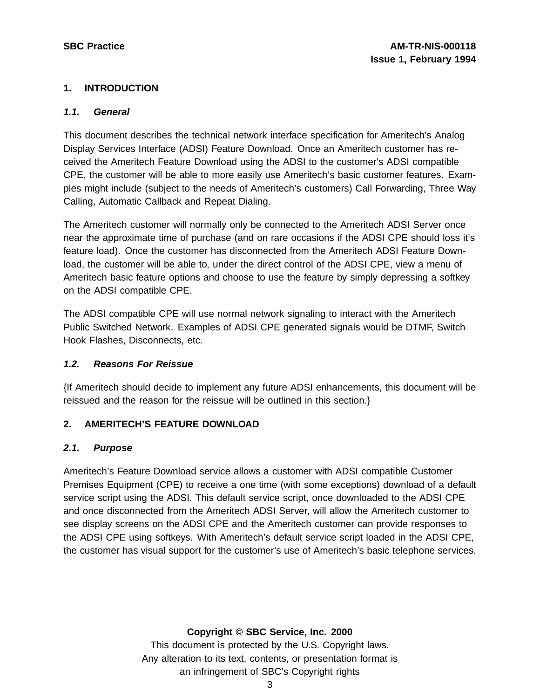## **1. INTRODUCTION**

## **1.1. General**

This document describes the technical network interface specification for Ameritech's Analog Display Services Interface (ADSI) Feature Download. Once an Ameritech customer has received the Ameritech Feature Download using the ADSI to the customer's ADSI compatible CPE, the customer will be able to more easily use Ameritech's basic customer features. Examples might include (subject to the needs of Ameritech's customers) Call Forwarding, Three Way Calling, Automatic Callback and Repeat Dialing.

The Ameritech customer will normally only be connected to the Ameritech ADSI Server once near the approximate time of purchase (and on rare occasions if the ADSI CPE should loss it's feature load). Once the customer has disconnected from the Ameritech ADSI Feature Download, the customer will be able to, under the direct control of the ADSI CPE, view a menu of Ameritech basic feature options and choose to use the feature by simply depressing a softkey on the ADSI compatible CPE.

The ADSI compatible CPE will use normal network signaling to interact with the Ameritech Public Switched Network. Examples of ADSI CPE generated signals would be DTMF, Switch Hook Flashes, Disconnects, etc.

## **1.2. Reasons For Reissue**

{If Ameritech should decide to implement any future ADSI enhancements, this document will be reissued and the reason for the reissue will be outlined in this section.}

# **2. AMERITECH'S FEATURE DOWNLOAD**

## **2.1. Purpose**

Ameritech's Feature Download service allows a customer with ADSI compatible Customer Premises Equipment (CPE) to receive a one time (with some exceptions) download of a default service script using the ADSI. This default service script, once downloaded to the ADSI CPE and once disconnected from the Ameritech ADSI Server, will allow the Ameritech customer to see display screens on the ADSI CPE and the Ameritech customer can provide responses to the ADSI CPE using softkeys. With Ameritech's default service script loaded in the ADSI CPE, the customer has visual support for the customer's use of Ameritech's basic telephone services.

**Copyright © SBC Service, Inc. 2000**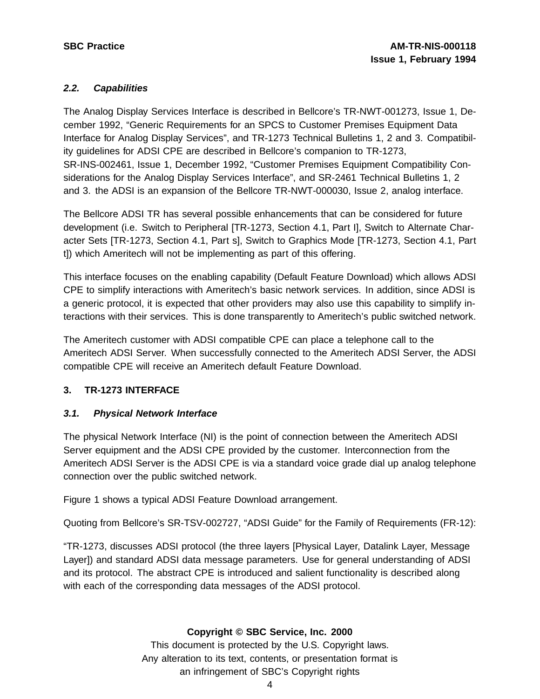## **2.2. Capabilities**

The Analog Display Services Interface is described in Bellcore's TR-NWT-001273, Issue 1, December 1992, "Generic Requirements for an SPCS to Customer Premises Equipment Data Interface for Analog Display Services", and TR-1273 Technical Bulletins 1, 2 and 3. Compatibility guidelines for ADSI CPE are described in Bellcore's companion to TR-1273, SR-INS-002461, Issue 1, December 1992, "Customer Premises Equipment Compatibility Considerations for the Analog Display Services Interface", and SR-2461 Technical Bulletins 1, 2 and 3. the ADSI is an expansion of the Bellcore TR-NWT-000030, Issue 2, analog interface.

The Bellcore ADSI TR has several possible enhancements that can be considered for future development (i.e. Switch to Peripheral [TR-1273, Section 4.1, Part I], Switch to Alternate Character Sets [TR-1273, Section 4.1, Part s], Switch to Graphics Mode [TR-1273, Section 4.1, Part t]) which Ameritech will not be implementing as part of this offering.

This interface focuses on the enabling capability (Default Feature Download) which allows ADSI CPE to simplify interactions with Ameritech's basic network services. In addition, since ADSI is a generic protocol, it is expected that other providers may also use this capability to simplify interactions with their services. This is done transparently to Ameritech's public switched network.

The Ameritech customer with ADSI compatible CPE can place a telephone call to the Ameritech ADSI Server. When successfully connected to the Ameritech ADSI Server, the ADSI compatible CPE will receive an Ameritech default Feature Download.

# **3. TR-1273 INTERFACE**

## **3.1. Physical Network Interface**

The physical Network Interface (NI) is the point of connection between the Ameritech ADSI Server equipment and the ADSI CPE provided by the customer. Interconnection from the Ameritech ADSI Server is the ADSI CPE is via a standard voice grade dial up analog telephone connection over the public switched network.

Figure 1 shows a typical ADSI Feature Download arrangement.

Quoting from Bellcore's SR-TSV-002727, "ADSI Guide" for the Family of Requirements (FR-12):

"TR-1273, discusses ADSI protocol (the three layers [Physical Layer, Datalink Layer, Message Layer]) and standard ADSI data message parameters. Use for general understanding of ADSI and its protocol. The abstract CPE is introduced and salient functionality is described along with each of the corresponding data messages of the ADSI protocol.

## **Copyright © SBC Service, Inc. 2000**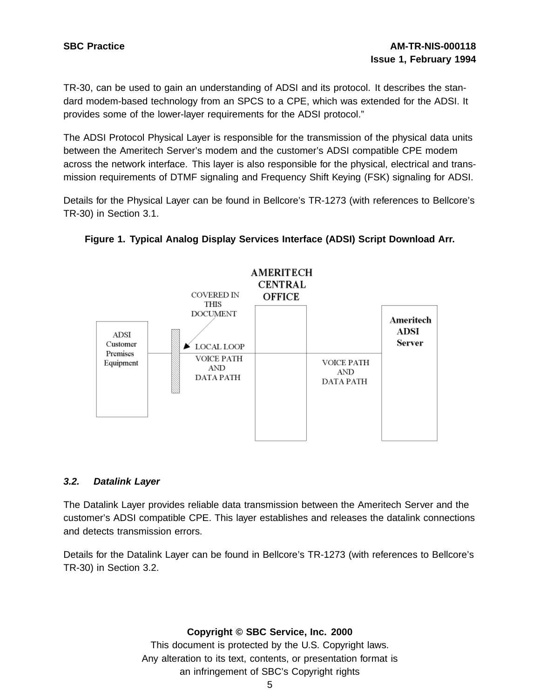TR-30, can be used to gain an understanding of ADSI and its protocol. It describes the standard modem-based technology from an SPCS to a CPE, which was extended for the ADSI. It provides some of the lower-layer requirements for the ADSI protocol."

The ADSI Protocol Physical Layer is responsible for the transmission of the physical data units between the Ameritech Server's modem and the customer's ADSI compatible CPE modem across the network interface. This layer is also responsible for the physical, electrical and transmission requirements of DTMF signaling and Frequency Shift Keying (FSK) signaling for ADSI.

Details for the Physical Layer can be found in Bellcore's TR-1273 (with references to Bellcore's TR-30) in Section 3.1.





## **3.2. Datalink Layer**

The Datalink Layer provides reliable data transmission between the Ameritech Server and the customer's ADSI compatible CPE. This layer establishes and releases the datalink connections and detects transmission errors.

Details for the Datalink Layer can be found in Bellcore's TR-1273 (with references to Bellcore's TR-30) in Section 3.2.

**Copyright © SBC Service, Inc. 2000**